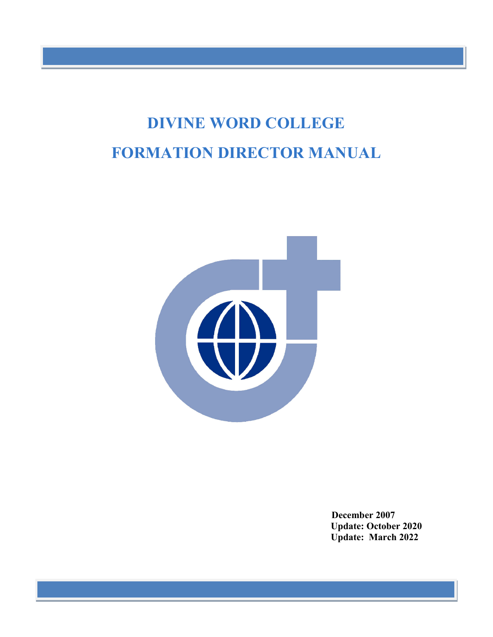# **DIVINE WORD COLLEGE FORMATION DIRECTOR MANUAL**



**December 2007 Update: October 2020 Update: March 2022**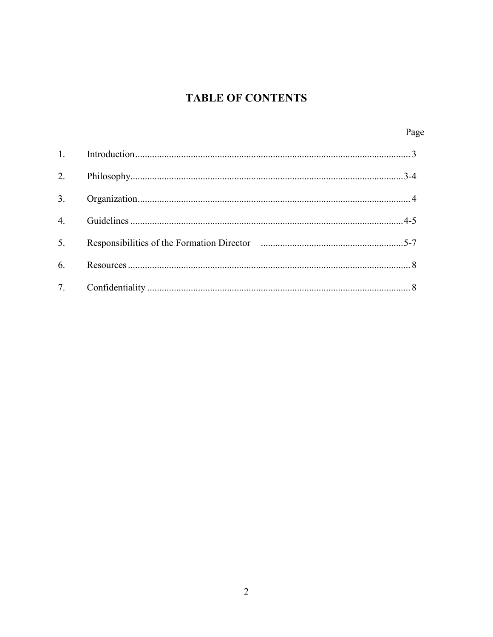## **TABLE OF CONTENTS**

|    | Page |
|----|------|
|    |      |
| 2. |      |
| 3. |      |
| 4. |      |
| 5. |      |
| 6. |      |
|    |      |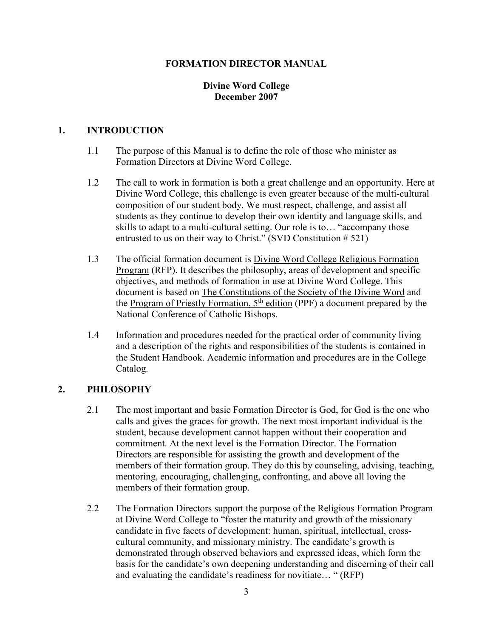#### **FORMATION DIRECTOR MANUAL**

#### **Divine Word College December 2007**

#### **1. INTRODUCTION**

- 1.1 The purpose of this Manual is to define the role of those who minister as Formation Directors at Divine Word College.
- 1.2 The call to work in formation is both a great challenge and an opportunity. Here at Divine Word College, this challenge is even greater because of the multi-cultural composition of our student body. We must respect, challenge, and assist all students as they continue to develop their own identity and language skills, and skills to adapt to a multi-cultural setting. Our role is to… "accompany those entrusted to us on their way to Christ." (SVD Constitution # 521)
- 1.3 The official formation document is Divine Word College Religious Formation Program (RFP). It describes the philosophy, areas of development and specific objectives, and methods of formation in use at Divine Word College. This document is based on The Constitutions of the Society of the Divine Word and the Program of Priestly Formation,  $5<sup>th</sup>$  edition (PPF) a document prepared by the National Conference of Catholic Bishops.
- 1.4 Information and procedures needed for the practical order of community living and a description of the rights and responsibilities of the students is contained in the Student Handbook. Academic information and procedures are in the College Catalog.

#### **2. PHILOSOPHY**

- 2.1 The most important and basic Formation Director is God, for God is the one who calls and gives the graces for growth. The next most important individual is the student, because development cannot happen without their cooperation and commitment. At the next level is the Formation Director. The Formation Directors are responsible for assisting the growth and development of the members of their formation group. They do this by counseling, advising, teaching, mentoring, encouraging, challenging, confronting, and above all loving the members of their formation group.
- 2.2 The Formation Directors support the purpose of the Religious Formation Program at Divine Word College to "foster the maturity and growth of the missionary candidate in five facets of development: human, spiritual, intellectual, crosscultural community, and missionary ministry. The candidate's growth is demonstrated through observed behaviors and expressed ideas, which form the basis for the candidate's own deepening understanding and discerning of their call and evaluating the candidate's readiness for novitiate… " (RFP)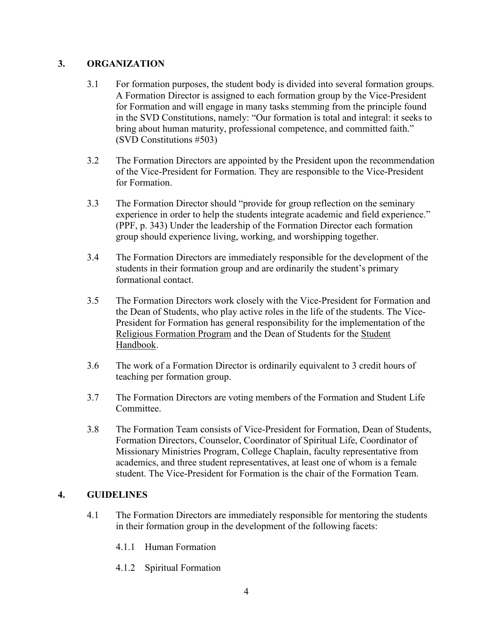#### **3. ORGANIZATION**

- 3.1 For formation purposes, the student body is divided into several formation groups. A Formation Director is assigned to each formation group by the Vice-President for Formation and will engage in many tasks stemming from the principle found in the SVD Constitutions, namely: "Our formation is total and integral: it seeks to bring about human maturity, professional competence, and committed faith." (SVD Constitutions #503)
- 3.2 The Formation Directors are appointed by the President upon the recommendation of the Vice-President for Formation. They are responsible to the Vice-President for Formation.
- 3.3 The Formation Director should "provide for group reflection on the seminary experience in order to help the students integrate academic and field experience." (PPF, p. 343) Under the leadership of the Formation Director each formation group should experience living, working, and worshipping together.
- 3.4 The Formation Directors are immediately responsible for the development of the students in their formation group and are ordinarily the student's primary formational contact.
- 3.5 The Formation Directors work closely with the Vice-President for Formation and the Dean of Students, who play active roles in the life of the students. The Vice-President for Formation has general responsibility for the implementation of the Religious Formation Program and the Dean of Students for the Student Handbook.
- 3.6 The work of a Formation Director is ordinarily equivalent to 3 credit hours of teaching per formation group.
- 3.7 The Formation Directors are voting members of the Formation and Student Life Committee.
- 3.8 The Formation Team consists of Vice-President for Formation, Dean of Students, Formation Directors, Counselor, Coordinator of Spiritual Life, Coordinator of Missionary Ministries Program, College Chaplain, faculty representative from academics, and three student representatives, at least one of whom is a female student. The Vice-President for Formation is the chair of the Formation Team.

#### **4. GUIDELINES**

- 4.1 The Formation Directors are immediately responsible for mentoring the students in their formation group in the development of the following facets:
	- 4.1.1 Human Formation
	- 4.1.2 Spiritual Formation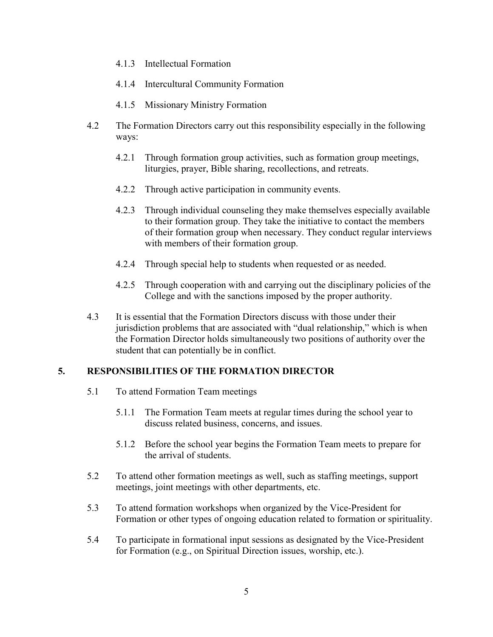- 4.1.3 Intellectual Formation
- 4.1.4 Intercultural Community Formation
- 4.1.5 Missionary Ministry Formation
- 4.2 The Formation Directors carry out this responsibility especially in the following ways:
	- 4.2.1 Through formation group activities, such as formation group meetings, liturgies, prayer, Bible sharing, recollections, and retreats.
	- 4.2.2 Through active participation in community events.
	- 4.2.3 Through individual counseling they make themselves especially available to their formation group. They take the initiative to contact the members of their formation group when necessary. They conduct regular interviews with members of their formation group.
	- 4.2.4 Through special help to students when requested or as needed.
	- 4.2.5 Through cooperation with and carrying out the disciplinary policies of the College and with the sanctions imposed by the proper authority.
- 4.3 It is essential that the Formation Directors discuss with those under their jurisdiction problems that are associated with "dual relationship," which is when the Formation Director holds simultaneously two positions of authority over the student that can potentially be in conflict.

#### **5. RESPONSIBILITIES OF THE FORMATION DIRECTOR**

- 5.1 To attend Formation Team meetings
	- 5.1.1 The Formation Team meets at regular times during the school year to discuss related business, concerns, and issues.
	- 5.1.2 Before the school year begins the Formation Team meets to prepare for the arrival of students.
- 5.2 To attend other formation meetings as well, such as staffing meetings, support meetings, joint meetings with other departments, etc.
- 5.3 To attend formation workshops when organized by the Vice-President for Formation or other types of ongoing education related to formation or spirituality.
- 5.4 To participate in formational input sessions as designated by the Vice-President for Formation (e.g., on Spiritual Direction issues, worship, etc.).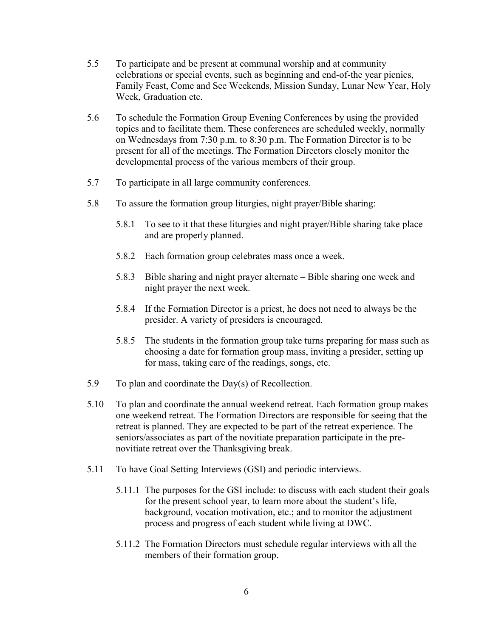- 5.5 To participate and be present at communal worship and at community celebrations or special events, such as beginning and end-of-the year picnics, Family Feast, Come and See Weekends, Mission Sunday, Lunar New Year, Holy Week, Graduation etc.
- 5.6 To schedule the Formation Group Evening Conferences by using the provided topics and to facilitate them. These conferences are scheduled weekly, normally on Wednesdays from 7:30 p.m. to 8:30 p.m. The Formation Director is to be present for all of the meetings. The Formation Directors closely monitor the developmental process of the various members of their group.
- 5.7 To participate in all large community conferences.
- 5.8 To assure the formation group liturgies, night prayer/Bible sharing:
	- 5.8.1 To see to it that these liturgies and night prayer/Bible sharing take place and are properly planned.
	- 5.8.2 Each formation group celebrates mass once a week.
	- 5.8.3 Bible sharing and night prayer alternate Bible sharing one week and night prayer the next week.
	- 5.8.4 If the Formation Director is a priest, he does not need to always be the presider. A variety of presiders is encouraged.
	- 5.8.5 The students in the formation group take turns preparing for mass such as choosing a date for formation group mass, inviting a presider, setting up for mass, taking care of the readings, songs, etc.
- 5.9 To plan and coordinate the Day(s) of Recollection.
- 5.10 To plan and coordinate the annual weekend retreat. Each formation group makes one weekend retreat. The Formation Directors are responsible for seeing that the retreat is planned. They are expected to be part of the retreat experience. The seniors/associates as part of the novitiate preparation participate in the prenovitiate retreat over the Thanksgiving break.
- 5.11 To have Goal Setting Interviews (GSI) and periodic interviews.
	- 5.11.1 The purposes for the GSI include: to discuss with each student their goals for the present school year, to learn more about the student's life, background, vocation motivation, etc.; and to monitor the adjustment process and progress of each student while living at DWC.
	- 5.11.2 The Formation Directors must schedule regular interviews with all the members of their formation group.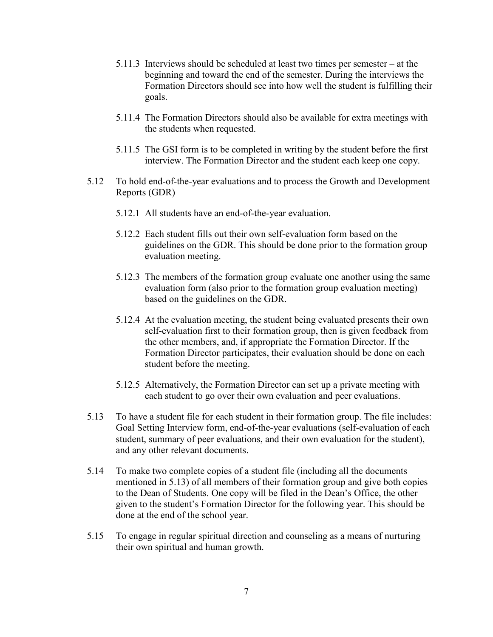- 5.11.3 Interviews should be scheduled at least two times per semester at the beginning and toward the end of the semester. During the interviews the Formation Directors should see into how well the student is fulfilling their goals.
- 5.11.4 The Formation Directors should also be available for extra meetings with the students when requested.
- 5.11.5 The GSI form is to be completed in writing by the student before the first interview. The Formation Director and the student each keep one copy.
- 5.12 To hold end-of-the-year evaluations and to process the Growth and Development Reports (GDR)
	- 5.12.1 All students have an end-of-the-year evaluation.
	- 5.12.2 Each student fills out their own self-evaluation form based on the guidelines on the GDR. This should be done prior to the formation group evaluation meeting.
	- 5.12.3 The members of the formation group evaluate one another using the same evaluation form (also prior to the formation group evaluation meeting) based on the guidelines on the GDR.
	- 5.12.4 At the evaluation meeting, the student being evaluated presents their own self-evaluation first to their formation group, then is given feedback from the other members, and, if appropriate the Formation Director. If the Formation Director participates, their evaluation should be done on each student before the meeting.
	- 5.12.5 Alternatively, the Formation Director can set up a private meeting with each student to go over their own evaluation and peer evaluations.
- 5.13 To have a student file for each student in their formation group. The file includes: Goal Setting Interview form, end-of-the-year evaluations (self-evaluation of each student, summary of peer evaluations, and their own evaluation for the student), and any other relevant documents.
- 5.14 To make two complete copies of a student file (including all the documents mentioned in 5.13) of all members of their formation group and give both copies to the Dean of Students. One copy will be filed in the Dean's Office, the other given to the student's Formation Director for the following year. This should be done at the end of the school year.
- 5.15 To engage in regular spiritual direction and counseling as a means of nurturing their own spiritual and human growth.